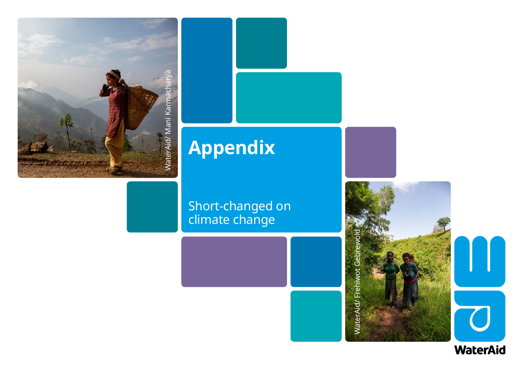



## **Appendix**

## Short-changed on climate change



WaterAid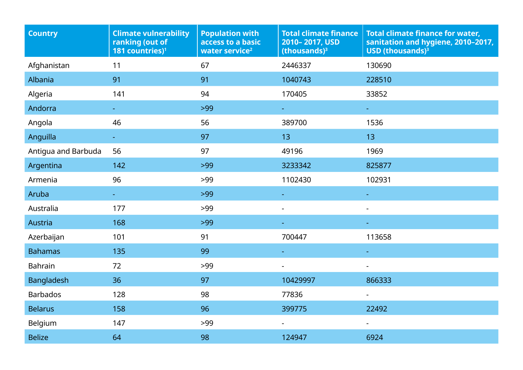| <b>Country</b>      | <b>Climate vulnerability</b><br>ranking (out of<br>181 countries) <sup>1</sup> | <b>Population with</b><br>access to a basic<br>water service <sup>2</sup> | <b>Total climate finance</b><br>2010-2017, USD<br>$(thousands)3$ | <b>Total climate finance for water,</b><br>sanitation and hygiene, 2010-2017,<br>USD (thousands) $3$ |
|---------------------|--------------------------------------------------------------------------------|---------------------------------------------------------------------------|------------------------------------------------------------------|------------------------------------------------------------------------------------------------------|
| Afghanistan         | 11                                                                             | 67                                                                        | 2446337                                                          | 130690                                                                                               |
| Albania             | 91                                                                             | 91                                                                        | 1040743                                                          | 228510                                                                                               |
| Algeria             | 141                                                                            | 94                                                                        | 170405                                                           | 33852                                                                                                |
| Andorra             |                                                                                | $>99$                                                                     |                                                                  | $\pm$                                                                                                |
| Angola              | 46                                                                             | 56                                                                        | 389700                                                           | 1536                                                                                                 |
| Anguilla            | $\omega_{\rm c}$                                                               | 97                                                                        | 13 <sup>°</sup>                                                  | 13                                                                                                   |
| Antigua and Barbuda | 56                                                                             | 97                                                                        | 49196                                                            | 1969                                                                                                 |
| Argentina           | 142                                                                            | $>99$                                                                     | 3233342                                                          | 825877                                                                                               |
| Armenia             | 96                                                                             | >99                                                                       | 1102430                                                          | 102931                                                                                               |
| Aruba               |                                                                                | $>99$                                                                     |                                                                  |                                                                                                      |
| Australia           | 177                                                                            | >99                                                                       | $\blacksquare$                                                   |                                                                                                      |
| Austria             | 168                                                                            | $>99$                                                                     |                                                                  |                                                                                                      |
| Azerbaijan          | 101                                                                            | 91                                                                        | 700447                                                           | 113658                                                                                               |
| <b>Bahamas</b>      | 135                                                                            | 99                                                                        |                                                                  |                                                                                                      |
| <b>Bahrain</b>      | 72                                                                             | >99                                                                       |                                                                  |                                                                                                      |
| <b>Bangladesh</b>   | 36                                                                             | 97                                                                        | 10429997                                                         | 866333                                                                                               |
| <b>Barbados</b>     | 128                                                                            | 98                                                                        | 77836                                                            | $\sim$                                                                                               |
| <b>Belarus</b>      | 158                                                                            | 96                                                                        | 399775                                                           | 22492                                                                                                |
| Belgium             | 147                                                                            | $>99$                                                                     | $\blacksquare$                                                   | $\blacksquare$                                                                                       |
| <b>Belize</b>       | 64                                                                             | 98                                                                        | 124947                                                           | 6924                                                                                                 |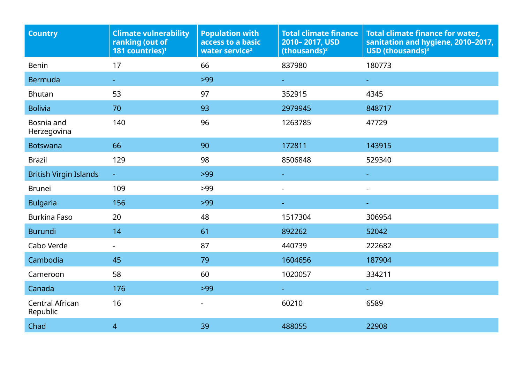| <b>Country</b>                     | <b>Climate vulnerability</b><br>ranking (out of<br>181 countries) <sup>1</sup> | <b>Population with</b><br>access to a basic<br>water service <sup>2</sup> | <b>Total climate finance</b><br>2010-2017, USD<br>(thousands) $3$ | <b>Total climate finance for water,</b><br>sanitation and hygiene, 2010-2017,<br>USD (thousands) <sup>3</sup> |
|------------------------------------|--------------------------------------------------------------------------------|---------------------------------------------------------------------------|-------------------------------------------------------------------|---------------------------------------------------------------------------------------------------------------|
| <b>Benin</b>                       | 17                                                                             | 66                                                                        | 837980                                                            | 180773                                                                                                        |
| <b>Bermuda</b>                     |                                                                                | $>99$                                                                     | ÷.                                                                |                                                                                                               |
| <b>Bhutan</b>                      | 53                                                                             | 97                                                                        | 352915                                                            | 4345                                                                                                          |
| <b>Bolivia</b>                     | 70                                                                             | 93                                                                        | 2979945                                                           | 848717                                                                                                        |
| Bosnia and<br>Herzegovina          | 140                                                                            | 96                                                                        | 1263785                                                           | 47729                                                                                                         |
| <b>Botswana</b>                    | 66                                                                             | 90                                                                        | 172811                                                            | 143915                                                                                                        |
| <b>Brazil</b>                      | 129                                                                            | 98                                                                        | 8506848                                                           | 529340                                                                                                        |
| <b>British Virgin Islands</b>      | ÷.                                                                             | $>99$                                                                     | ÷                                                                 | $\sim$                                                                                                        |
| <b>Brunei</b>                      | 109                                                                            | >99                                                                       | ä,                                                                |                                                                                                               |
| <b>Bulgaria</b>                    | 156                                                                            | $>99$                                                                     |                                                                   |                                                                                                               |
| <b>Burkina Faso</b>                | 20                                                                             | 48                                                                        | 1517304                                                           | 306954                                                                                                        |
| <b>Burundi</b>                     | 14                                                                             | 61                                                                        | 892262                                                            | 52042                                                                                                         |
| Cabo Verde                         | $\blacksquare$                                                                 | 87                                                                        | 440739                                                            | 222682                                                                                                        |
| Cambodia                           | 45                                                                             | 79                                                                        | 1604656                                                           | 187904                                                                                                        |
| Cameroon                           | 58                                                                             | 60                                                                        | 1020057                                                           | 334211                                                                                                        |
| Canada                             | 176                                                                            | $>99$                                                                     | ÷.                                                                | $\sim$                                                                                                        |
| <b>Central African</b><br>Republic | 16                                                                             | -                                                                         | 60210                                                             | 6589                                                                                                          |
| Chad                               | $\overline{4}$                                                                 | 39                                                                        | 488055                                                            | 22908                                                                                                         |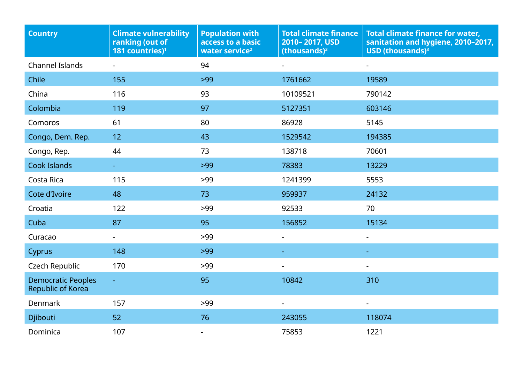| <b>Country</b>                                 | <b>Climate vulnerability</b><br>ranking (out of<br>181 countries) <sup>1</sup> | <b>Population with</b><br>access to a basic<br>water service <sup>2</sup> | <b>Total climate finance</b><br>2010-2017, USD<br>$ 1 (thousands)3$ | <b>Total climate finance for water,</b><br>sanitation and hygiene, 2010-2017,<br>USD (thousands) <sup>3</sup> |
|------------------------------------------------|--------------------------------------------------------------------------------|---------------------------------------------------------------------------|---------------------------------------------------------------------|---------------------------------------------------------------------------------------------------------------|
| <b>Channel Islands</b>                         |                                                                                | 94                                                                        |                                                                     |                                                                                                               |
| Chile                                          | 155                                                                            | $>99$                                                                     | 1761662                                                             | 19589                                                                                                         |
| China                                          | 116                                                                            | 93                                                                        | 10109521                                                            | 790142                                                                                                        |
| Colombia                                       | 119                                                                            | 97                                                                        | 5127351                                                             | 603146                                                                                                        |
| Comoros                                        | 61                                                                             | 80                                                                        | 86928                                                               | 5145                                                                                                          |
| Congo, Dem. Rep.                               | 12                                                                             | 43                                                                        | 1529542                                                             | 194385                                                                                                        |
| Congo, Rep.                                    | 44                                                                             | 73                                                                        | 138718                                                              | 70601                                                                                                         |
| <b>Cook Islands</b>                            |                                                                                | $>99$                                                                     | 78383                                                               | 13229                                                                                                         |
| Costa Rica                                     | 115                                                                            | >99                                                                       | 1241399                                                             | 5553                                                                                                          |
| Cote d'Ivoire                                  | 48                                                                             | 73                                                                        | 959937                                                              | 24132                                                                                                         |
| Croatia                                        | 122                                                                            | >99                                                                       | 92533                                                               | 70                                                                                                            |
| Cuba                                           | 87                                                                             | 95                                                                        | 156852                                                              | 15134                                                                                                         |
| Curacao                                        |                                                                                | >99                                                                       | ÷.                                                                  | $\blacksquare$                                                                                                |
| Cyprus                                         | 148                                                                            | $>99$                                                                     | ÷                                                                   |                                                                                                               |
| Czech Republic                                 | 170                                                                            | >99                                                                       |                                                                     | $\overline{\phantom{a}}$                                                                                      |
| <b>Democratic Peoples</b><br>Republic of Korea | $\Box$                                                                         | 95                                                                        | 10842                                                               | 310                                                                                                           |
| Denmark                                        | 157                                                                            | >99                                                                       |                                                                     |                                                                                                               |
| Djibouti                                       | 52                                                                             | 76                                                                        | 243055                                                              | 118074                                                                                                        |
| Dominica                                       | 107                                                                            |                                                                           | 75853                                                               | 1221                                                                                                          |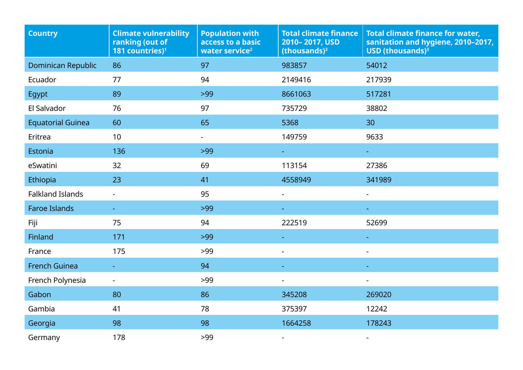| <b>Country</b>           | <b>Climate vulnerability</b><br>ranking (out of<br>181 countries) <sup>1</sup> | <b>Population with</b><br>access to a basic<br>water service <sup>2</sup> | <b>Total climate finance</b><br>2010-2017, USD<br>$(thousands)3$ | <b>Total climate finance for water,</b><br>sanitation and hygiene, 2010-2017,<br>USD (thousands) <sup>3</sup> |
|--------------------------|--------------------------------------------------------------------------------|---------------------------------------------------------------------------|------------------------------------------------------------------|---------------------------------------------------------------------------------------------------------------|
| Dominican Republic       | 86                                                                             | 97                                                                        | 983857                                                           | 54012                                                                                                         |
| Ecuador                  | 77                                                                             | 94                                                                        | 2149416                                                          | 217939                                                                                                        |
| Egypt                    | 89                                                                             | $>99$                                                                     | 8661063                                                          | 517281                                                                                                        |
| El Salvador              | 76                                                                             | 97                                                                        | 735729                                                           | 38802                                                                                                         |
| <b>Equatorial Guinea</b> | 60                                                                             | 65                                                                        | 5368                                                             | 30                                                                                                            |
| Eritrea                  | 10                                                                             | $\blacksquare$                                                            | 149759                                                           | 9633                                                                                                          |
| Estonia                  | 136                                                                            | $>99$                                                                     |                                                                  |                                                                                                               |
| eSwatini                 | 32                                                                             | 69                                                                        | 113154                                                           | 27386                                                                                                         |
| Ethiopia                 | 23                                                                             | 41                                                                        | 4558949                                                          | 341989                                                                                                        |
| <b>Falkland Islands</b>  | ÷,                                                                             | 95                                                                        | $\overline{\phantom{0}}$                                         | $\overline{\phantom{a}}$                                                                                      |
| <b>Faroe Islands</b>     | $\blacksquare$                                                                 | $>99$                                                                     |                                                                  |                                                                                                               |
| Fiji                     | 75                                                                             | 94                                                                        | 222519                                                           | 52699                                                                                                         |
| Finland                  | 171                                                                            | $>99$                                                                     |                                                                  |                                                                                                               |
| France                   | 175                                                                            | $>99$                                                                     | $\blacksquare$                                                   | $\sim$                                                                                                        |
| <b>French Guinea</b>     |                                                                                | 94                                                                        |                                                                  |                                                                                                               |
| French Polynesia         | $\overline{\phantom{0}}$                                                       | $>99$                                                                     | $\blacksquare$                                                   |                                                                                                               |
| Gabon                    | 80                                                                             | 86                                                                        | 345208                                                           | 269020                                                                                                        |
| Gambia                   | 41                                                                             | 78                                                                        | 375397                                                           | 12242                                                                                                         |
| Georgia                  | 98                                                                             | 98                                                                        | 1664258                                                          | 178243                                                                                                        |
| Germany                  | 178                                                                            | $>99$                                                                     | ٠                                                                |                                                                                                               |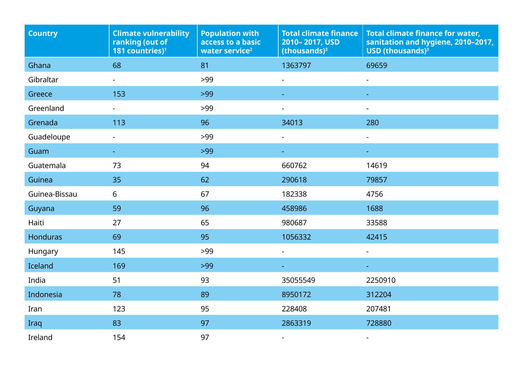| <b>Country</b>  | <b>Climate vulnerability</b><br>ranking (out of<br>181 countries) <sup>1</sup> | <b>Population with</b><br>access to a basic<br>water service <sup>2</sup> | <b>Total climate finance</b><br>2010-2017, USD<br>$(thousands)3$ | <b>Total climate finance for water,</b><br>sanitation and hygiene, 2010-2017,<br>USD (thousands) $3$ |
|-----------------|--------------------------------------------------------------------------------|---------------------------------------------------------------------------|------------------------------------------------------------------|------------------------------------------------------------------------------------------------------|
| Ghana           | 68                                                                             | 81                                                                        | 1363797                                                          | 69659                                                                                                |
| Gibraltar       | $\overline{\phantom{0}}$                                                       | $>99$                                                                     | $\blacksquare$                                                   |                                                                                                      |
| Greece          | 153                                                                            | $>99$                                                                     |                                                                  |                                                                                                      |
| Greenland       |                                                                                | $>99$                                                                     |                                                                  |                                                                                                      |
| Grenada         | 113                                                                            | 96                                                                        | 34013                                                            | 280                                                                                                  |
| Guadeloupe      |                                                                                | $>99$                                                                     | $\blacksquare$                                                   |                                                                                                      |
| Guam            |                                                                                | $>99$                                                                     |                                                                  |                                                                                                      |
| Guatemala       | 73                                                                             | 94                                                                        | 660762                                                           | 14619                                                                                                |
| Guinea          | 35                                                                             | 62                                                                        | 290618                                                           | 79857                                                                                                |
| Guinea-Bissau   | 6                                                                              | 67                                                                        | 182338                                                           | 4756                                                                                                 |
| Guyana          | 59                                                                             | 96                                                                        | 458986                                                           | 1688                                                                                                 |
| Haiti           | 27                                                                             | 65                                                                        | 980687                                                           | 33588                                                                                                |
| <b>Honduras</b> | 69                                                                             | 95                                                                        | 1056332                                                          | 42415                                                                                                |
| Hungary         | 145                                                                            | $>99$                                                                     | $\blacksquare$                                                   |                                                                                                      |
| Iceland         | 169                                                                            | $>99$                                                                     |                                                                  |                                                                                                      |
| India           | 51                                                                             | 93                                                                        | 35055549                                                         | 2250910                                                                                              |
| Indonesia       | 78                                                                             | 89                                                                        | 8950172                                                          | 312204                                                                                               |
| Iran            | 123                                                                            | 95                                                                        | 228408                                                           | 207481                                                                                               |
| Iraq            | 83                                                                             | 97                                                                        | 2863319                                                          | 728880                                                                                               |
| Ireland         | 154                                                                            | 97                                                                        |                                                                  |                                                                                                      |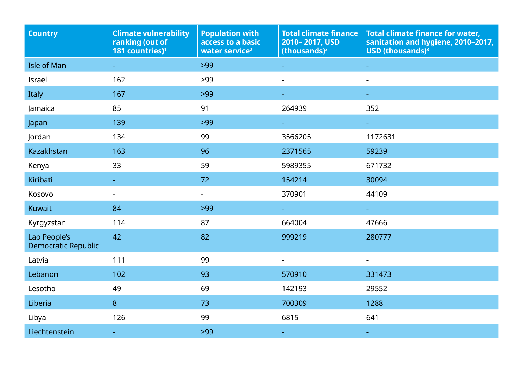| Country                                    | <b>Climate vulnerability</b><br>ranking (out of<br>181 countries) <sup>1</sup> | <b>Population with</b><br>access to a basic<br>water service <sup>2</sup> | <b>Total climate finance</b><br>2010-2017, USD<br>(thousands) $3$ | <b>Total climate finance for water,</b><br>sanitation and hygiene, 2010-2017,<br>USD (thousands) $3$ |
|--------------------------------------------|--------------------------------------------------------------------------------|---------------------------------------------------------------------------|-------------------------------------------------------------------|------------------------------------------------------------------------------------------------------|
| <b>Isle of Man</b>                         |                                                                                | $>99$                                                                     |                                                                   |                                                                                                      |
| Israel                                     | 162                                                                            | $>99$                                                                     | $\blacksquare$                                                    |                                                                                                      |
| Italy                                      | 167                                                                            | $>99$                                                                     |                                                                   |                                                                                                      |
| Jamaica                                    | 85                                                                             | 91                                                                        | 264939                                                            | 352                                                                                                  |
| Japan                                      | 139                                                                            | $>99$                                                                     |                                                                   |                                                                                                      |
| Jordan                                     | 134                                                                            | 99                                                                        | 3566205                                                           | 1172631                                                                                              |
| <b>Kazakhstan</b>                          | 163                                                                            | 96                                                                        | 2371565                                                           | 59239                                                                                                |
| Kenya                                      | 33                                                                             | 59                                                                        | 5989355                                                           | 671732                                                                                               |
| Kiribati                                   |                                                                                | 72                                                                        | 154214                                                            | 30094                                                                                                |
| Kosovo                                     |                                                                                | $\blacksquare$                                                            | 370901                                                            | 44109                                                                                                |
| <b>Kuwait</b>                              | 84                                                                             | $>99$                                                                     | $\sim$                                                            |                                                                                                      |
| Kyrgyzstan                                 | 114                                                                            | 87                                                                        | 664004                                                            | 47666                                                                                                |
| Lao People's<br><b>Democratic Republic</b> | 42                                                                             | 82                                                                        | 999219                                                            | 280777                                                                                               |
| Latvia                                     | 111                                                                            | 99                                                                        | $\blacksquare$                                                    |                                                                                                      |
| Lebanon                                    | 102                                                                            | 93                                                                        | 570910                                                            | 331473                                                                                               |
| Lesotho                                    | 49                                                                             | 69                                                                        | 142193                                                            | 29552                                                                                                |
| Liberia                                    | 8                                                                              | 73                                                                        | 700309                                                            | 1288                                                                                                 |
| Libya                                      | 126                                                                            | 99                                                                        | 6815                                                              | 641                                                                                                  |
| Liechtenstein                              |                                                                                | $>99$                                                                     |                                                                   |                                                                                                      |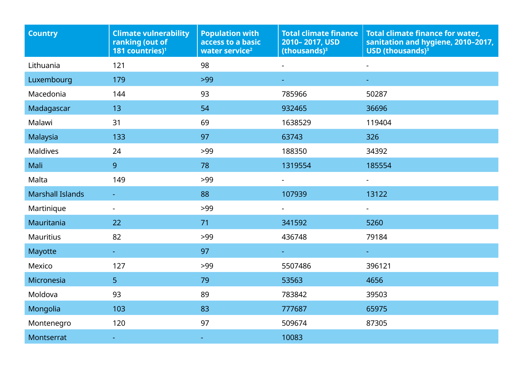| <b>Country</b>          | <b>Climate vulnerability</b><br>ranking (out of<br>181 countries) <sup>1</sup> | <b>Population with</b><br>access to a basic<br>water service <sup>2</sup> | <b>Total climate finance</b><br>2010-2017, USD<br>(thousands) $3$ | <b>Total climate finance for water,</b><br>sanitation and hygiene, 2010-2017,<br><b>USD</b> (thousands) <sup>3</sup> |
|-------------------------|--------------------------------------------------------------------------------|---------------------------------------------------------------------------|-------------------------------------------------------------------|----------------------------------------------------------------------------------------------------------------------|
| Lithuania               | 121                                                                            | 98                                                                        |                                                                   |                                                                                                                      |
| Luxembourg              | 179                                                                            | $>99$                                                                     |                                                                   |                                                                                                                      |
| Macedonia               | 144                                                                            | 93                                                                        | 785966                                                            | 50287                                                                                                                |
| Madagascar              | 13                                                                             | 54                                                                        | 932465                                                            | 36696                                                                                                                |
| Malawi                  | 31                                                                             | 69                                                                        | 1638529                                                           | 119404                                                                                                               |
| Malaysia                | 133                                                                            | 97                                                                        | 63743                                                             | 326                                                                                                                  |
| <b>Maldives</b>         | 24                                                                             | >99                                                                       | 188350                                                            | 34392                                                                                                                |
| Mali                    | 9                                                                              | 78                                                                        | 1319554                                                           | 185554                                                                                                               |
| Malta                   | 149                                                                            | $>99$                                                                     | $\blacksquare$                                                    | $\blacksquare$                                                                                                       |
| <b>Marshall Islands</b> |                                                                                | 88                                                                        | 107939                                                            | 13122                                                                                                                |
| Martinique              | $\blacksquare$                                                                 | >99                                                                       |                                                                   | $\blacksquare$                                                                                                       |
| Mauritania              | 22                                                                             | 71                                                                        | 341592                                                            | 5260                                                                                                                 |
| <b>Mauritius</b>        | 82                                                                             | >99                                                                       | 436748                                                            | 79184                                                                                                                |
| Mayotte                 | $\frac{1}{\sqrt{2}}$                                                           | 97                                                                        |                                                                   | $\pm$                                                                                                                |
| Mexico                  | 127                                                                            | >99                                                                       | 5507486                                                           | 396121                                                                                                               |
| Micronesia              | 5 <sup>1</sup>                                                                 | 79                                                                        | 53563                                                             | 4656                                                                                                                 |
| Moldova                 | 93                                                                             | 89                                                                        | 783842                                                            | 39503                                                                                                                |
| Mongolia                | 103                                                                            | 83                                                                        | 777687                                                            | 65975                                                                                                                |
| Montenegro              | 120                                                                            | 97                                                                        | 509674                                                            | 87305                                                                                                                |
| <b>Montserrat</b>       | $\blacksquare$                                                                 | ÷                                                                         | 10083                                                             |                                                                                                                      |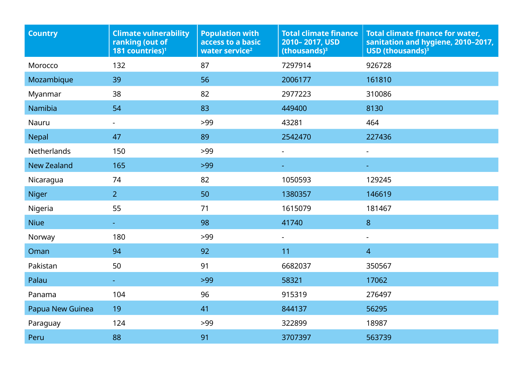| <b>Country</b>     | <b>Climate vulnerability</b><br>ranking (out of<br>181 countries) <sup>1</sup> | <b>Population with</b><br>access to a basic<br>water service <sup>2</sup> | <b>Total climate finance</b><br>2010-2017, USD<br>$(thousands)3$ | <b>Total climate finance for water,</b><br>sanitation and hygiene, 2010-2017,<br><b>USD</b> (thousands) $3$ |
|--------------------|--------------------------------------------------------------------------------|---------------------------------------------------------------------------|------------------------------------------------------------------|-------------------------------------------------------------------------------------------------------------|
| Morocco            | 132                                                                            | 87                                                                        | 7297914                                                          | 926728                                                                                                      |
| Mozambique         | 39                                                                             | 56                                                                        | 2006177                                                          | 161810                                                                                                      |
| Myanmar            | 38                                                                             | 82                                                                        | 2977223                                                          | 310086                                                                                                      |
| Namibia            | 54                                                                             | 83                                                                        | 449400                                                           | 8130                                                                                                        |
| Nauru              | $\blacksquare$                                                                 | $>99$                                                                     | 43281                                                            | 464                                                                                                         |
| Nepal              | 47                                                                             | 89                                                                        | 2542470                                                          | 227436                                                                                                      |
| Netherlands        | 150                                                                            | >99                                                                       |                                                                  | L,                                                                                                          |
| <b>New Zealand</b> | 165                                                                            | $>99$                                                                     |                                                                  |                                                                                                             |
| Nicaragua          | 74                                                                             | 82                                                                        | 1050593                                                          | 129245                                                                                                      |
| <b>Niger</b>       | 2 <sup>1</sup>                                                                 | 50                                                                        | 1380357                                                          | 146619                                                                                                      |
| Nigeria            | 55                                                                             | 71                                                                        | 1615079                                                          | 181467                                                                                                      |
| <b>Niue</b>        |                                                                                | 98                                                                        | 41740                                                            | 8                                                                                                           |
| Norway             | 180                                                                            | >99                                                                       |                                                                  | ÷,                                                                                                          |
| Oman               | 94                                                                             | 92                                                                        | 11                                                               | $\overline{4}$                                                                                              |
| Pakistan           | 50                                                                             | 91                                                                        | 6682037                                                          | 350567                                                                                                      |
| Palau              |                                                                                | $>99$                                                                     | 58321                                                            | 17062                                                                                                       |
| Panama             | 104                                                                            | 96                                                                        | 915319                                                           | 276497                                                                                                      |
| Papua New Guinea   | 19                                                                             | 41                                                                        | 844137                                                           | 56295                                                                                                       |
| Paraguay           | 124                                                                            | >99                                                                       | 322899                                                           | 18987                                                                                                       |
| Peru               | 88                                                                             | 91                                                                        | 3707397                                                          | 563739                                                                                                      |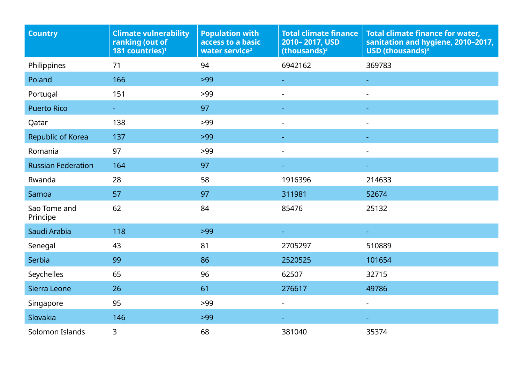| <b>Country</b>            | <b>Climate vulnerability</b><br>ranking (out of<br>181 countries) <sup>1</sup> | <b>Population with</b><br>access to a basic<br>water service <sup>2</sup> | <b>Total climate finance</b><br>2010-2017, USD<br>$ 1 (thousands)3$ | <b>Total climate finance for water,</b><br>sanitation and hygiene, 2010-2017,<br>USD (thousands) $3$ |
|---------------------------|--------------------------------------------------------------------------------|---------------------------------------------------------------------------|---------------------------------------------------------------------|------------------------------------------------------------------------------------------------------|
| Philippines               | 71                                                                             | 94                                                                        | 6942162                                                             | 369783                                                                                               |
| Poland                    | 166                                                                            | $>99$                                                                     |                                                                     |                                                                                                      |
| Portugal                  | 151                                                                            | $>99$                                                                     |                                                                     |                                                                                                      |
| <b>Puerto Rico</b>        | $\pm$                                                                          | 97                                                                        |                                                                     |                                                                                                      |
| Qatar                     | 138                                                                            | >99                                                                       |                                                                     |                                                                                                      |
| Republic of Korea         | 137                                                                            | $>99$                                                                     |                                                                     |                                                                                                      |
| Romania                   | 97                                                                             | >99                                                                       | $\overline{\phantom{a}}$                                            |                                                                                                      |
| <b>Russian Federation</b> | 164                                                                            | 97                                                                        |                                                                     |                                                                                                      |
| Rwanda                    | 28                                                                             | 58                                                                        | 1916396                                                             | 214633                                                                                               |
| Samoa                     | 57                                                                             | 97                                                                        | 311981                                                              | 52674                                                                                                |
| Sao Tome and<br>Principe  | 62                                                                             | 84                                                                        | 85476                                                               | 25132                                                                                                |
| Saudi Arabia              | 118                                                                            | $>99$                                                                     |                                                                     |                                                                                                      |
| Senegal                   | 43                                                                             | 81                                                                        | 2705297                                                             | 510889                                                                                               |
| Serbia                    | 99                                                                             | 86                                                                        | 2520525                                                             | 101654                                                                                               |
| Seychelles                | 65                                                                             | 96                                                                        | 62507                                                               | 32715                                                                                                |
| Sierra Leone              | 26                                                                             | 61                                                                        | 276617                                                              | 49786                                                                                                |
| Singapore                 | 95                                                                             | $>99$                                                                     | $\blacksquare$                                                      | $\sim$                                                                                               |
| Slovakia                  | 146                                                                            | $>99$                                                                     | ÷                                                                   |                                                                                                      |
| Solomon Islands           | 3                                                                              | 68                                                                        | 381040                                                              | 35374                                                                                                |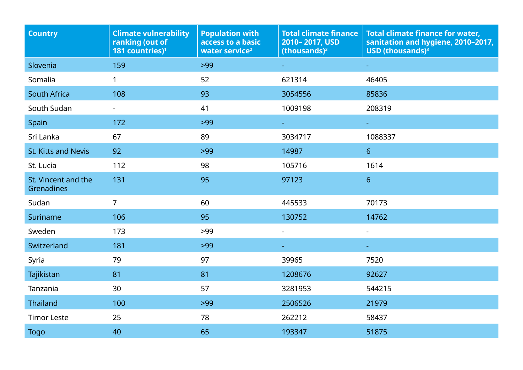| <b>Country</b>                    | <b>Climate vulnerability</b><br>ranking (out of<br>181 countries) <sup>1</sup> | <b>Population with</b><br>access to a basic<br>water service <sup>2</sup> | <b>Total climate finance</b><br>2010-2017, USD<br>$ 1 (thousands)3$ | <b>Total climate finance for water,</b><br>sanitation and hygiene, 2010-2017,<br>USD (thousands) $3$ |
|-----------------------------------|--------------------------------------------------------------------------------|---------------------------------------------------------------------------|---------------------------------------------------------------------|------------------------------------------------------------------------------------------------------|
| Slovenia                          | 159                                                                            | $>99$                                                                     |                                                                     |                                                                                                      |
| Somalia                           | $\mathbf{1}$                                                                   | 52                                                                        | 621314                                                              | 46405                                                                                                |
| South Africa                      | 108                                                                            | 93                                                                        | 3054556                                                             | 85836                                                                                                |
| South Sudan                       |                                                                                | 41                                                                        | 1009198                                                             | 208319                                                                                               |
| Spain                             | 172                                                                            | $>99$                                                                     | $\sim$                                                              | $\equiv$                                                                                             |
| Sri Lanka                         | 67                                                                             | 89                                                                        | 3034717                                                             | 1088337                                                                                              |
| <b>St. Kitts and Nevis</b>        | 92                                                                             | $>99$                                                                     | 14987                                                               | 6 <sup>1</sup>                                                                                       |
| St. Lucia                         | 112                                                                            | 98                                                                        | 105716                                                              | 1614                                                                                                 |
| St. Vincent and the<br>Grenadines | 131                                                                            | 95                                                                        | 97123                                                               | 6 <sup>1</sup>                                                                                       |
| Sudan                             | $\overline{7}$                                                                 | 60                                                                        | 445533                                                              | 70173                                                                                                |
| Suriname                          | 106                                                                            | 95                                                                        | 130752                                                              | 14762                                                                                                |
| Sweden                            | 173                                                                            | $>99$                                                                     | $\overline{\phantom{0}}$                                            | $\blacksquare$                                                                                       |
| Switzerland                       | 181                                                                            | $>99$                                                                     |                                                                     |                                                                                                      |
| Syria                             | 79                                                                             | 97                                                                        | 39965                                                               | 7520                                                                                                 |
| Tajikistan                        | 81                                                                             | 81                                                                        | 1208676                                                             | 92627                                                                                                |
| Tanzania                          | 30                                                                             | 57                                                                        | 3281953                                                             | 544215                                                                                               |
| <b>Thailand</b>                   | 100                                                                            | $>99$                                                                     | 2506526                                                             | 21979                                                                                                |
| <b>Timor Leste</b>                | 25                                                                             | 78                                                                        | 262212                                                              | 58437                                                                                                |
| <b>Togo</b>                       | 40                                                                             | 65                                                                        | 193347                                                              | 51875                                                                                                |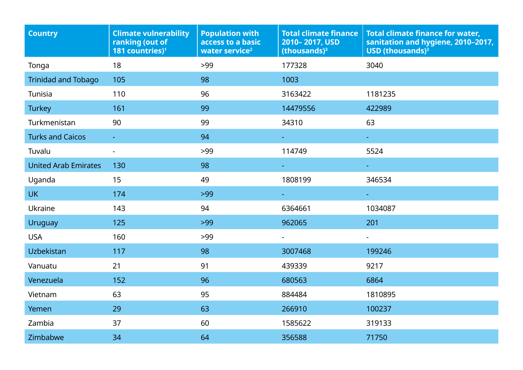| <b>Country</b>              | <b>Climate vulnerability</b><br>ranking (out of<br>181 countries) <sup>1</sup> | <b>Population with</b><br>access to a basic<br>water service <sup>2</sup> | <b>Total climate finance</b><br>2010-2017, USD<br>$(thousands)3$ | <b>Total climate finance for water,</b><br>sanitation and hygiene, 2010-2017,<br><b>USD</b> (thousands) <sup>3</sup> |
|-----------------------------|--------------------------------------------------------------------------------|---------------------------------------------------------------------------|------------------------------------------------------------------|----------------------------------------------------------------------------------------------------------------------|
| Tonga                       | 18                                                                             | $>99$                                                                     | 177328                                                           | 3040                                                                                                                 |
| <b>Trinidad and Tobago</b>  | 105                                                                            | 98                                                                        | 1003                                                             |                                                                                                                      |
| Tunisia                     | 110                                                                            | 96                                                                        | 3163422                                                          | 1181235                                                                                                              |
| <b>Turkey</b>               | 161                                                                            | 99                                                                        | 14479556                                                         | 422989                                                                                                               |
| Turkmenistan                | 90                                                                             | 99                                                                        | 34310                                                            | 63                                                                                                                   |
| <b>Turks and Caicos</b>     |                                                                                | 94                                                                        | $\omega_{\rm{max}}$                                              | $\sim$                                                                                                               |
| Tuvalu                      |                                                                                | >99                                                                       | 114749                                                           | 5524                                                                                                                 |
| <b>United Arab Emirates</b> | 130                                                                            | 98                                                                        | $\frac{1}{2}$                                                    | $\pm$                                                                                                                |
| Uganda                      | 15                                                                             | 49                                                                        | 1808199                                                          | 346534                                                                                                               |
| <b>UK</b>                   | 174                                                                            | $>99$                                                                     |                                                                  |                                                                                                                      |
| Ukraine                     | 143                                                                            | 94                                                                        | 6364661                                                          | 1034087                                                                                                              |
| Uruguay                     | 125                                                                            | $>99$                                                                     | 962065                                                           | 201                                                                                                                  |
| <b>USA</b>                  | 160                                                                            | $>99$                                                                     | $\blacksquare$                                                   | $\blacksquare$                                                                                                       |
| Uzbekistan                  | 117                                                                            | 98                                                                        | 3007468                                                          | 199246                                                                                                               |
| Vanuatu                     | 21                                                                             | 91                                                                        | 439339                                                           | 9217                                                                                                                 |
| Venezuela                   | 152                                                                            | 96                                                                        | 680563                                                           | 6864                                                                                                                 |
| Vietnam                     | 63                                                                             | 95                                                                        | 884484                                                           | 1810895                                                                                                              |
| Yemen                       | 29                                                                             | 63                                                                        | 266910                                                           | 100237                                                                                                               |
| Zambia                      | 37                                                                             | 60                                                                        | 1585622                                                          | 319133                                                                                                               |
| Zimbabwe                    | 34                                                                             | 64                                                                        | 356588                                                           | 71750                                                                                                                |